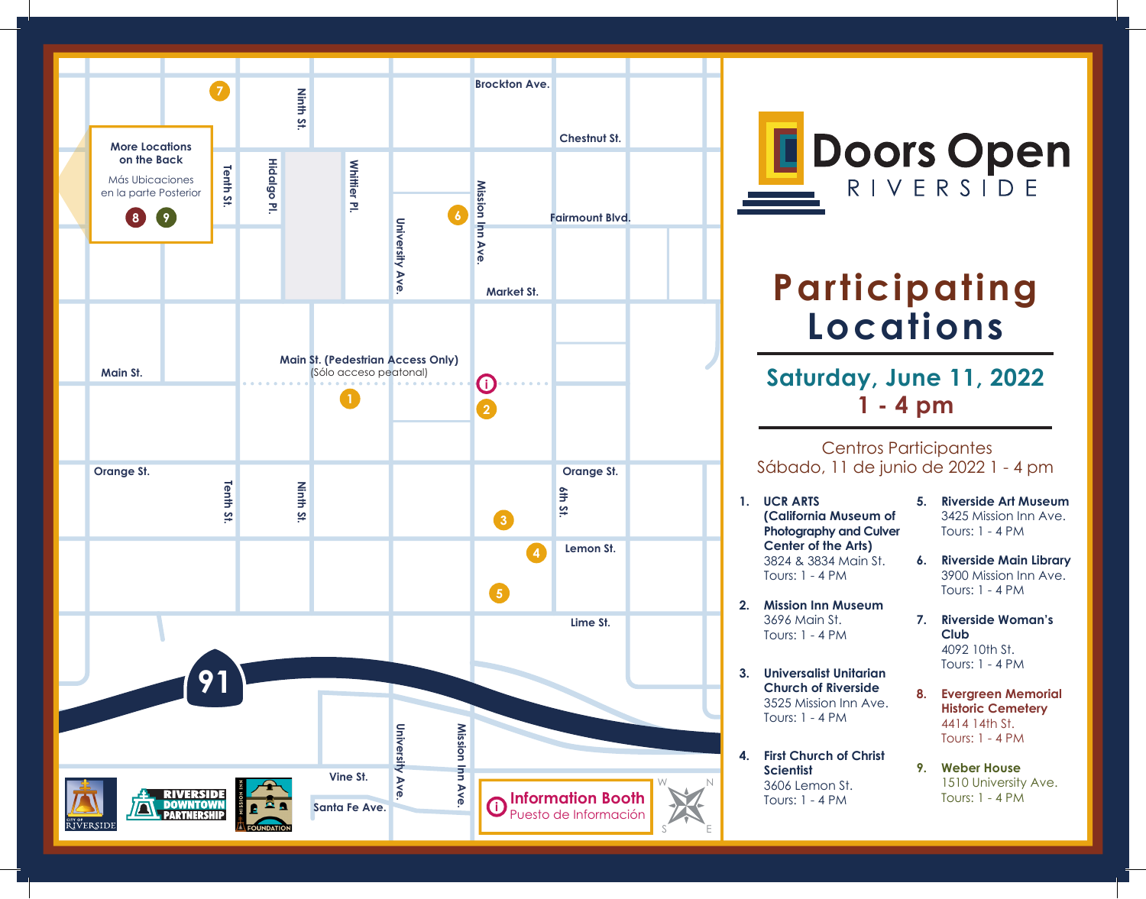

**Doors Open RIVERSIDE** 

## **Participating Locations**

## **Saturday, June 11, 2022 1 - 4 pm**

## Centros Participantes Sábado, 11 de junio de 2022 1 - 4 pm

- **1. UCR ARTS (California Museum of Photography and Culver Center of the Arts)** 3824 & 3834 Main St. Tours: 1 - 4 PM
- **2. Mission Inn Museum** 3696 Main St. Tours: 1 - 4 PM
- **3. Universalist Unitarian Church of Riverside** 3525 Mission Inn Ave. Tours: 1 - 4 PM
- **4. First Church of Christ Scientist** 3606 Lemon St. Tours: 1 - 4 PM
- **5. Riverside Art Museum** 3425 Mission Inn Ave. Tours: 1 - 4 PM
- **6. Riverside Main Library**  3900 Mission Inn Ave. Tours: 1 - 4 PM
- **7. Riverside Woman's Club** 4092 10th St. Tours: 1 - 4 PM
- **8. Evergreen Memorial Historic Cemetery** 4414 14th St. Tours: 1 - 4 PM
- **9. Weber House** 1510 University Ave. Tours: 1 - 4 PM